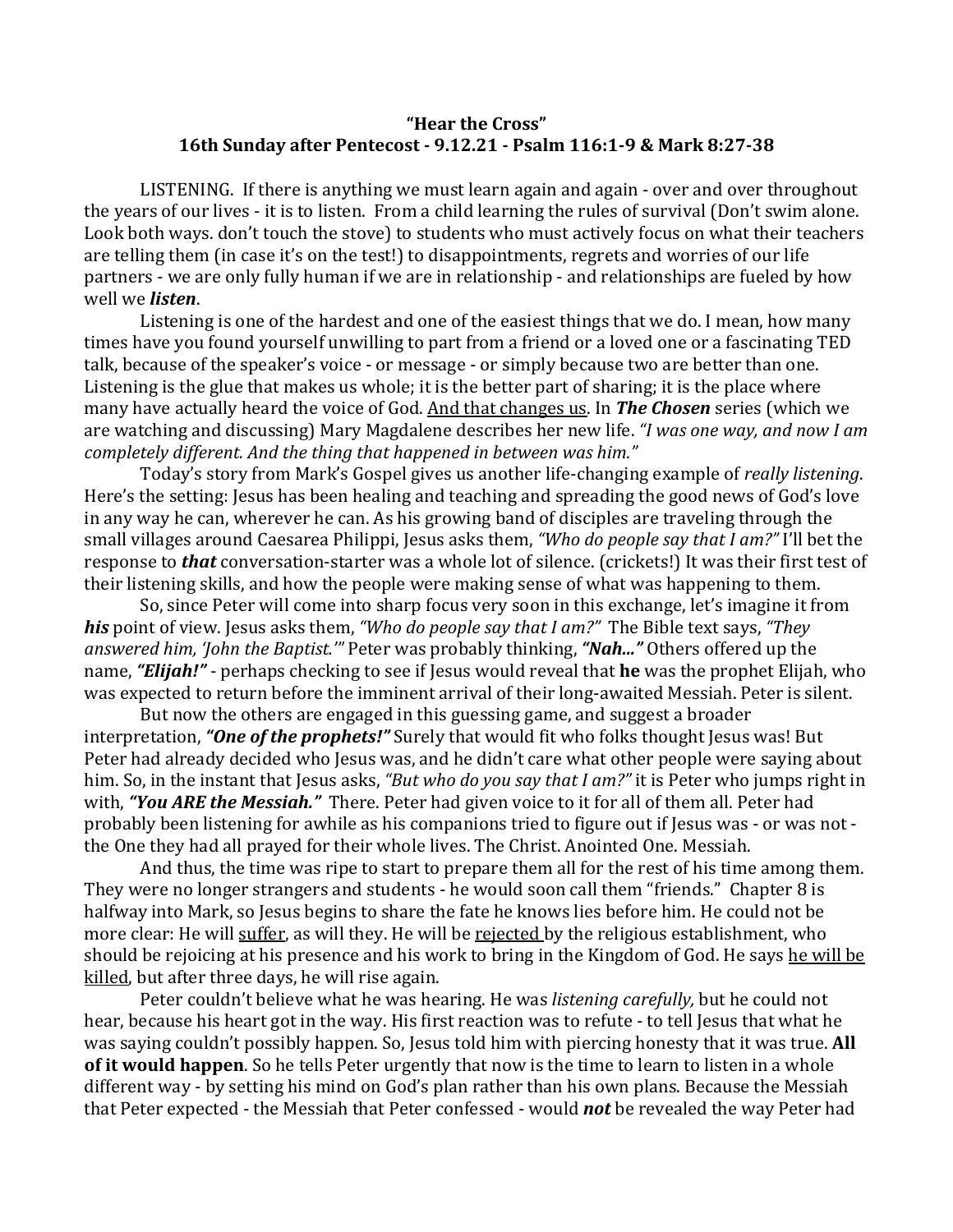## **"Hear the Cross" 16th Sunday after Pentecost - 9.12.21 - Psalm 116:1-9 & Mark 8:27-38**

LISTENING. If there is anything we must learn again and again - over and over throughout the years of our lives - it is to listen. From a child learning the rules of survival (Don't swim alone. Look both ways. don't touch the stove) to students who must actively focus on what their teachers are telling them (in case it's on the test!) to disappointments, regrets and worries of our life partners - we are only fully human if we are in relationship - and relationships are fueled by how well we *listen*.

Listening is one of the hardest and one of the easiest things that we do. I mean, how many times have you found yourself unwilling to part from a friend or a loved one or a fascinating TED talk, because of the speaker's voice - or message - or simply because two are better than one. Listening is the glue that makes us whole; it is the better part of sharing; it is the place where many have actually heard the voice of God. And that changes us. In **The Chosen** series (which we are watching and discussing) Mary Magdalene describes her new life. "*I was one way, and now I am* completely different. And the thing that happened in between was him."

Today's story from Mark's Gospel gives us another life-changing example of *really listening*. Here's the setting: Jesus has been healing and teaching and spreading the good news of God's love in any way he can, wherever he can. As his growing band of disciples are traveling through the small villages around Caesarea Philippi, Jesus asks them, "Who do people say that I am?" I'll bet the response to **that** conversation-starter was a whole lot of silence. (crickets!) It was their first test of their listening skills, and how the people were making sense of what was happening to them.

So, since Peter will come into sharp focus very soon in this exchange, let's imagine it from *his* point of view. Jesus asks them, *"Who do people say that I am?"* The Bible text says, "They answered him, 'John the Baptist.'" Peter was probably thinking, "Nah..." Others offered up the name, "**Elijah!**" - perhaps checking to see if Jesus would reveal that **he** was the prophet Elijah, who was expected to return before the imminent arrival of their long-awaited Messiah. Peter is silent.

But now the others are engaged in this guessing game, and suggest a broader interpretation, **"One of the prophets!"** Surely that would fit who folks thought Jesus was! But Peter had already decided who Jesus was, and he didn't care what other people were saying about him. So, in the instant that Jesus asks, "But who do you say that I am?" it is Peter who jumps right in with, "You ARE the Messiah." There. Peter had given voice to it for all of them all. Peter had probably been listening for awhile as his companions tried to figure out if Jesus was - or was not the One they had all prayed for their whole lives. The Christ. Anointed One. Messiah.

And thus, the time was ripe to start to prepare them all for the rest of his time among them. They were no longer strangers and students - he would soon call them "friends." Chapter 8 is halfway into Mark, so Jesus begins to share the fate he knows lies before him. He could not be more clear: He will suffer, as will they. He will be rejected by the religious establishment, who should be rejoicing at his presence and his work to bring in the Kingdom of God. He says he will be killed, but after three days, he will rise again.

Peter couldn't believe what he was hearing. He was *listening carefully*, but he could not hear, because his heart got in the way. His first reaction was to refute - to tell Jesus that what he was saying couldn't possibly happen. So, Jesus told him with piercing honesty that it was true. All **of it would happen**. So he tells Peter urgently that now is the time to learn to listen in a whole different way - by setting his mind on God's plan rather than his own plans. Because the Messiah that Peter expected - the Messiah that Peter confessed - would **not** be revealed the way Peter had